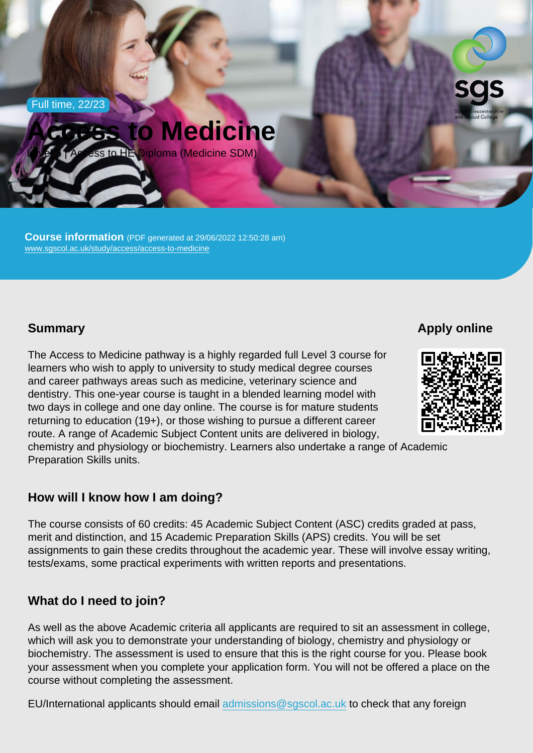Full time, 22/23

# Access to Medicine

Level 3 | Access to HE Diploma (Medicine SDM)

Course information (PDF generated at 29/06/2022 12:50:28 am) [www.sgscol.ac.uk/study/access/access-to-medicine](https://www.sgscol.ac.uk/study/access/access-to-medicine)

# **Summary**

Apply online

The Access to Medicine pathway is a highly regarded full Level 3 course for learners who wish to apply to university to study medical degree courses and career pathways areas such as medicine, veterinary science and dentistry. This one-year course is taught in a blended learning model with two days in college and one day online. The course is for mature students returning to education (19+), or those wishing to pursue a different career route. A range of Academic Subject Content units are delivered in biology, chemistry and physiology or biochemistry. Learners also undertake a range of Academic Preparation Skills units.

## How will I know how I am doing?

The course consists of 60 credits: 45 Academic Subject Content (ASC) credits graded at pass, merit and distinction, and 15 Academic Preparation Skills (APS) credits. You will be set assignments to gain these credits throughout the academic year. These will involve essay writing, tests/exams, some practical experiments with written reports and presentations.

## What do I need to join?

As well as the above Academic criteria all applicants are required to sit an assessment in college, which will ask you to demonstrate your understanding of biology, chemistry and physiology or biochemistry. The assessment is used to ensure that this is the right course for you. Please book your assessment when you complete your application form. You will not be offered a place on the course without completing the assessment.

EU/International applicants should email [admissions@sgscol.ac.uk](mailto:admissions@sgscol.ac.uk) to check that any foreign